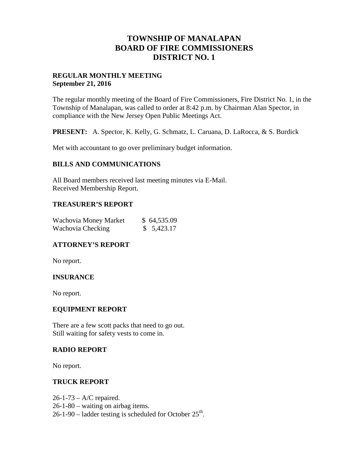## **TOWNSHIP OF MANALAPAN BOARD OF FIRE COMMISSIONERS DISTRICT NO. 1**

### **REGULAR MONTHLY MEETING September 21, 2016**

The regular monthly meeting of the Board of Fire Commissioners, Fire District No. 1, in the Township of Manalapan, was called to order at 8:42 p.m. by Chairman Alan Spector, in compliance with the New Jersey Open Public Meetings Act.

**PRESENT:** A. Spector, K. Kelly, G. Schmatz, L. Caruana, D. LaRocca, & S. Burdick

Met with accountant to go over preliminary budget information.

## **BILLS AND COMMUNICATIONS**

All Board members received last meeting minutes via E-Mail. Received Membership Report.

## **TREASURER'S REPORT**

| Wachovia Money Market | \$64,535.09 |
|-----------------------|-------------|
| Wachovia Checking     | \$5,423.17  |

## **ATTORNEY'S REPORT**

No report.

## **INSURANCE**

No report.

### **EQUIPMENT REPORT**

There are a few scott packs that need to go out. Still waiting for safety vests to come in.

#### **RADIO REPORT**

No report.

#### **TRUCK REPORT**

26-1-73 – A/C repaired. 26-1-80 – waiting on airbag items.  $26-1-90$  – ladder testing is scheduled for October  $25<sup>th</sup>$ .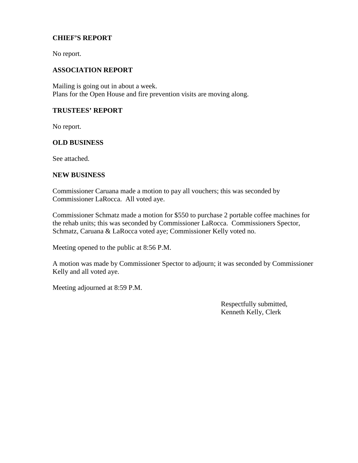## **CHIEF'S REPORT**

No report.

#### **ASSOCIATION REPORT**

Mailing is going out in about a week. Plans for the Open House and fire prevention visits are moving along.

#### **TRUSTEES' REPORT**

No report.

#### **OLD BUSINESS**

See attached.

#### **NEW BUSINESS**

Commissioner Caruana made a motion to pay all vouchers; this was seconded by Commissioner LaRocca. All voted aye.

Commissioner Schmatz made a motion for \$550 to purchase 2 portable coffee machines for the rehab units; this was seconded by Commissioner LaRocca. Commissioners Spector, Schmatz, Caruana & LaRocca voted aye; Commissioner Kelly voted no.

Meeting opened to the public at 8:56 P.M.

A motion was made by Commissioner Spector to adjourn; it was seconded by Commissioner Kelly and all voted aye.

Meeting adjourned at 8:59 P.M.

Respectfully submitted, Kenneth Kelly, Clerk